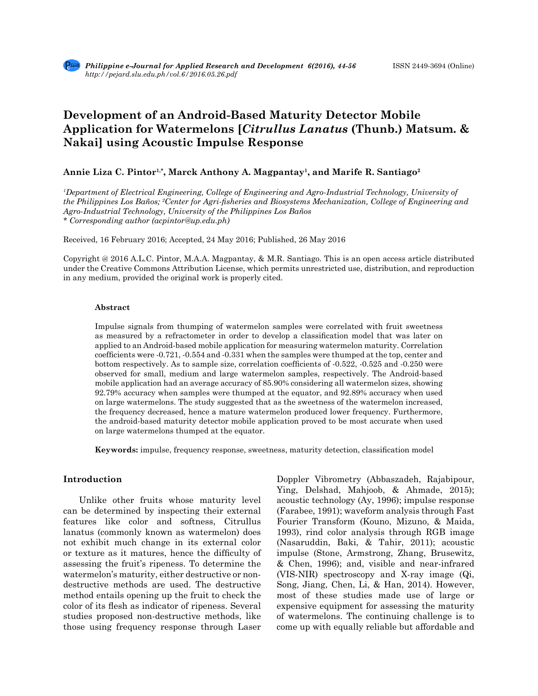# **Development of an Android-Based Maturity Detector Mobile Application for Watermelons [***Citrullus Lanatus* **(Thunb.) Matsum. & Nakai] using Acoustic Impulse Response**

# Annie Liza C. Pintor<sup>1,\*</sup>, Marck Anthony A. Magpantay<sup>1</sup>, and Marife R. Santiago<sup>2</sup>

*1 Department of Electrical Engineering, College of Engineering and Agro-Industrial Technology, University of the Philippines Los Baños; 2 Center for Agri-fisheries and Biosystems Mechanization, College of Engineering and Agro-Industrial Technology, University of the Philippines Los Baños \* Corresponding author (acpintor@up.edu.ph)*

Received, 16 February 2016; Accepted, 24 May 2016; Published, 26 May 2016

Copyright @ 2016 A.L.C. Pintor, M.A.A. Magpantay, & M.R. Santiago. This is an open access article distributed under the Creative Commons Attribution License, which permits unrestricted use, distribution, and reproduction in any medium, provided the original work is properly cited.

#### **Abstract**

Impulse signals from thumping of watermelon samples were correlated with fruit sweetness as measured by a refractometer in order to develop a classification model that was later on applied to an Android-based mobile application for measuring watermelon maturity. Correlation coefficients were -0.721, -0.554 and -0.331 when the samples were thumped at the top, center and bottom respectively. As to sample size, correlation coefficients of -0.522, -0.525 and -0.250 were observed for small, medium and large watermelon samples, respectively. The Android-based mobile application had an average accuracy of 85.90% considering all watermelon sizes, showing 92.79% accuracy when samples were thumped at the equator, and 92.89% accuracy when used on large watermelons. The study suggested that as the sweetness of the watermelon increased, the frequency decreased, hence a mature watermelon produced lower frequency. Furthermore, the android-based maturity detector mobile application proved to be most accurate when used on large watermelons thumped at the equator.

**Keywords:** impulse, frequency response, sweetness, maturity detection, classification model

### **Introduction**

Unlike other fruits whose maturity level can be determined by inspecting their external features like color and softness, Citrullus lanatus (commonly known as watermelon) does not exhibit much change in its external color or texture as it matures, hence the difficulty of assessing the fruit's ripeness. To determine the watermelon's maturity, either destructive or nondestructive methods are used. The destructive method entails opening up the fruit to check the color of its flesh as indicator of ripeness. Several studies proposed non-destructive methods, like those using frequency response through Laser Doppler Vibrometry (Abbaszadeh, Rajabipour, Ying, Delshad, Mahjoob, & Ahmade, 2015); acoustic technology (Ay, 1996); impulse response (Farabee, 1991); waveform analysis through Fast Fourier Transform (Kouno, Mizuno, & Maida, 1993), rind color analysis through RGB image (Nasaruddin, Baki, & Tahir, 2011); acoustic impulse (Stone, Armstrong, Zhang, Brusewitz, & Chen, 1996); and, visible and near-infrared (VIS-NIR) spectroscopy and X-ray image (Qi, Song, Jiang, Chen, Li, & Han, 2014). However, most of these studies made use of large or expensive equipment for assessing the maturity of watermelons. The continuing challenge is to come up with equally reliable but affordable and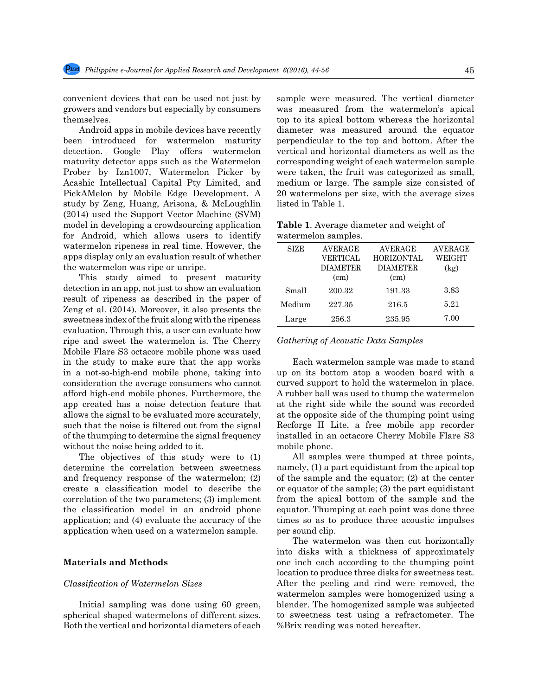convenient devices that can be used not just by growers and vendors but especially by consumers themselves.

Android apps in mobile devices have recently been introduced for watermelon maturity detection. Google Play offers watermelon maturity detector apps such as the Watermelon Prober by Izn1007, Watermelon Picker by Acashic Intellectual Capital Pty Limited, and PickAMelon by Mobile Edge Development. A study by Zeng, Huang, Arisona, & McLoughlin (2014) used the Support Vector Machine (SVM) model in developing a crowdsourcing application for Android, which allows users to identify watermelon ripeness in real time. However, the apps display only an evaluation result of whether the watermelon was ripe or unripe.

This study aimed to present maturity detection in an app, not just to show an evaluation result of ripeness as described in the paper of Zeng et al. (2014). Moreover, it also presents the sweetness index of the fruit along with the ripeness evaluation. Through this, a user can evaluate how ripe and sweet the watermelon is. The Cherry Mobile Flare S3 octacore mobile phone was used in the study to make sure that the app works in a not-so-high-end mobile phone, taking into consideration the average consumers who cannot afford high-end mobile phones. Furthermore, the app created has a noise detection feature that allows the signal to be evaluated more accurately, such that the noise is filtered out from the signal of the thumping to determine the signal frequency without the noise being added to it.

The objectives of this study were to (1) determine the correlation between sweetness and frequency response of the watermelon; (2) create a classification model to describe the correlation of the two parameters; (3) implement the classification model in an android phone application; and (4) evaluate the accuracy of the application when used on a watermelon sample.

#### **Materials and Methods**

#### *Classification of Watermelon Sizes*

Initial sampling was done using 60 green, spherical shaped watermelons of different sizes. Both the vertical and horizontal diameters of each sample were measured. The vertical diameter was measured from the watermelon's apical top to its apical bottom whereas the horizontal diameter was measured around the equator perpendicular to the top and bottom. After the vertical and horizontal diameters as well as the corresponding weight of each watermelon sample were taken, the fruit was categorized as small, medium or large. The sample size consisted of 20 watermelons per size, with the average sizes listed in Table 1.

| Table 1. Average diameter and weight of |  |
|-----------------------------------------|--|
| watermelon samples.                     |  |

| <b>AVERAGE</b>  | <b>AVERAGE</b>  | <b>AVERAGE</b> |
|-----------------|-----------------|----------------|
| <b>VERTICAL</b> | HORIZONTAL      | WEIGHT         |
| <b>DIAMETER</b> | <b>DIAMETER</b> | (kg)           |
| (cm)            | (cm)            |                |
| 200.32          | 191.33          | 3.83           |
| 227.35          | 216.5           | 5.21           |
| 256.3           | 235.95          | 7.00           |
|                 |                 |                |

#### *Gathering of Acoustic Data Samples*

Each watermelon sample was made to stand up on its bottom atop a wooden board with a curved support to hold the watermelon in place. A rubber ball was used to thump the watermelon at the right side while the sound was recorded at the opposite side of the thumping point using Recforge II Lite, a free mobile app recorder installed in an octacore Cherry Mobile Flare S3 mobile phone.

All samples were thumped at three points, namely, (1) a part equidistant from the apical top of the sample and the equator; (2) at the center or equator of the sample; (3) the part equidistant from the apical bottom of the sample and the equator. Thumping at each point was done three times so as to produce three acoustic impulses per sound clip.

The watermelon was then cut horizontally into disks with a thickness of approximately one inch each according to the thumping point location to produce three disks for sweetness test. After the peeling and rind were removed, the watermelon samples were homogenized using a blender. The homogenized sample was subjected to sweetness test using a refractometer. The %Brix reading was noted hereafter.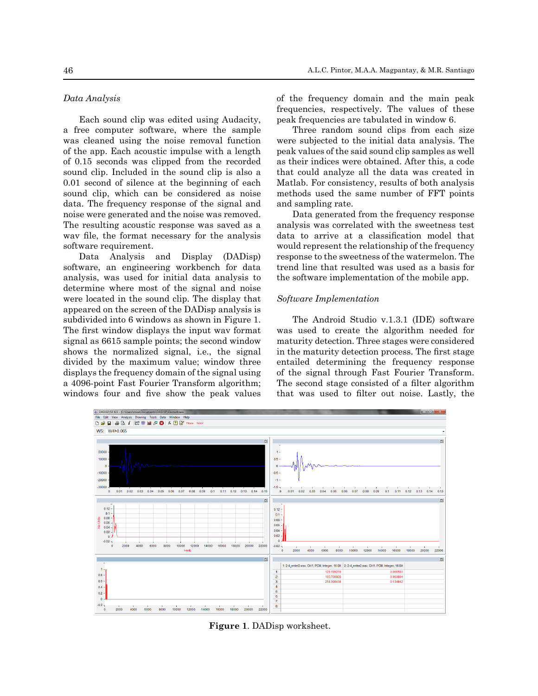## *Data Analysis*

Each sound clip was edited using Audacity, a free computer software, where the sample was cleaned using the noise removal function of the app. Each acoustic impulse with a length of 0.15 seconds was clipped from the recorded sound clip. Included in the sound clip is also a 0.01 second of silence at the beginning of each sound clip, which can be considered as noise data. The frequency response of the signal and noise were generated and the noise was removed. The resulting acoustic response was saved as a wav file, the format necessary for the analysis software requirement.

Data Analysis and Display (DADisp) software, an engineering workbench for data analysis, was used for initial data analysis to determine where most of the signal and noise were located in the sound clip. The display that appeared on the screen of the DADisp analysis is subdivided into 6 windows as shown in Figure 1. The first window displays the input wav format signal as 6615 sample points; the second window shows the normalized signal, i.e., the signal divided by the maximum value; window three displays the frequency domain of the signal using a 4096-point Fast Fourier Transform algorithm; windows four and five show the peak values of the frequency domain and the main peak frequencies, respectively. The values of these peak frequencies are tabulated in window 6.

Three random sound clips from each size were subjected to the initial data analysis. The peak values of the said sound clip samples as well as their indices were obtained. After this, a code that could analyze all the data was created in Matlab. For consistency, results of both analysis methods used the same number of FFT points and sampling rate.

Data generated from the frequency response analysis was correlated with the sweetness test data to arrive at a classification model that would represent the relationship of the frequency response to the sweetness of the watermelon. The trend line that resulted was used as a basis for the software implementation of the mobile app.

## *Software Implementation*

The Android Studio v.1.3.1 (IDE) software was used to create the algorithm needed for maturity detection. Three stages were considered in the maturity detection process. The first stage entailed determining the frequency response of the signal through Fast Fourier Transform. The second stage consisted of a filter algorithm that was used to filter out noise. Lastly, the



**Figure 1**. DADisp worksheet.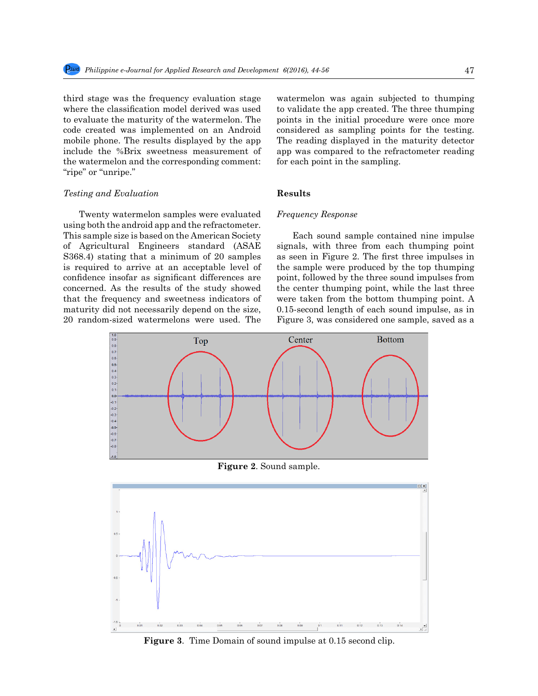third stage was the frequency evaluation stage where the classification model derived was used to evaluate the maturity of the watermelon. The code created was implemented on an Android mobile phone. The results displayed by the app include the %Brix sweetness measurement of the watermelon and the corresponding comment: "ripe" or "unripe."

# *Testing and Evaluation*

Twenty watermelon samples were evaluated using both the android app and the refractometer. This sample size is based on the American Society of Agricultural Engineers standard (ASAE S368.4) stating that a minimum of 20 samples is required to arrive at an acceptable level of confidence insofar as significant differences are concerned. As the results of the study showed that the frequency and sweetness indicators of maturity did not necessarily depend on the size, 20 random-sized watermelons were used. The watermelon was again subjected to thumping to validate the app created. The three thumping points in the initial procedure were once more considered as sampling points for the testing. The reading displayed in the maturity detector app was compared to the refractometer reading for each point in the sampling.

# **Results**

## *Frequency Response*

Each sound sample contained nine impulse signals, with three from each thumping point as seen in Figure 2. The first three impulses in the sample were produced by the top thumping point, followed by the three sound impulses from the center thumping point, while the last three were taken from the bottom thumping point. A 0.15-second length of each sound impulse, as in Figure 3, was considered one sample, saved as a



**Figure 2**. Sound sample.



**Figure 3**. Time Domain of sound impulse at 0.15 second clip.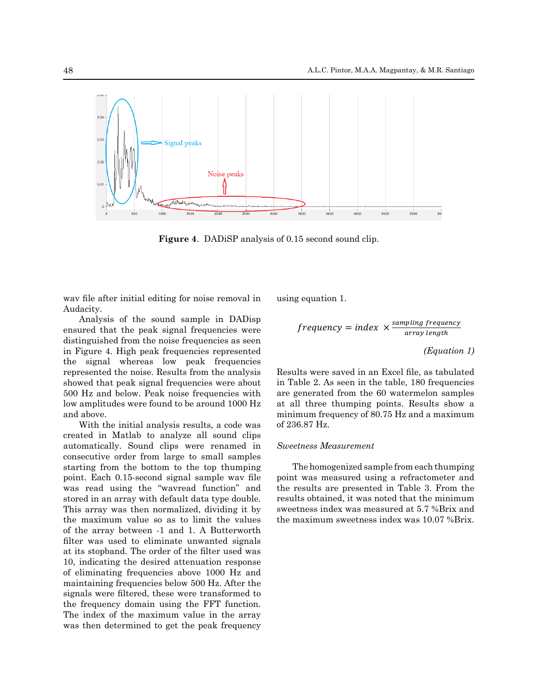

**Figure 4**. DADiSP analysis of 0.15 second sound clip.

wav file after initial editing for noise removal in using equation 1.<br>Anderity Audacity.  $190$  transformed to the frequency domain using the function. The index of the maximum value index of the maximum value index of the maximum value index of the maximum value index of the maximum value index of the maximum

actly.<br>Analysis of the sound sample in DADisp ensured that the peak signal frequencies were  $f$ requency = index  $\times \frac{\text{sumfully}}$ distinguished from the noise frequencies as seen in Figure 4. High peak frequencies represented (*Equation 1*) the signal whereas low peak frequencies at all the 60 watermediately points. Results show at all three the 60 watermediately points show at all three three three three three three three three three three three three three represented the noise. Results from the analysis showed that peak signal frequencies were about 500 Hz and below. Peak noise frequencies with low amplitudes were found to be around 1000 Hz and above.

With the initial analysis results, a code was created in Matlab to analyze all sound clips automatically. Sound clips were renamed in consecutive order from large to small samples starting from the bottom to the top thumping point. Each 0.15-second signal sample wav file was read using the "wavread function" and stored in an array with default data type double. This array was then normalized, dividing it by the maximum value so as to limit the values of the array between -1 and 1. A Butterworth filter was used to eliminate unwanted signals at its stopband. The order of the filter used was 10, indicating the desired attenuation response of eliminating frequencies above 1000 Hz and maintaining frequencies below 500 Hz. After the signals were filtered, these were transformed to the frequency domain using the FFT function. The index of the maximum value in the array was then determined to get the peak frequency using equation 1.

$$
frequency = index \times \frac{sampling\ frequency}{array\ length}
$$

*(Equation 1)*

1976 s from the analysis Results were saved in an Excel file, as tabulated in Table 2. As seen in the table, 180 frequencies are generated from the 60 watermelon samples at all three thumping points. Results show a minimum frequency of 80.75 Hz and a maximum of 236.87 Hz.

### *Sweetness Measurement*

The homogenized sample from each thumping point was measured using a refractometer and the results are presented in Table 3. From the results obtained, it was noted that the minimum sweetness index was measured at 5.7 %Brix and the maximum sweetness index was 10.07 %Brix.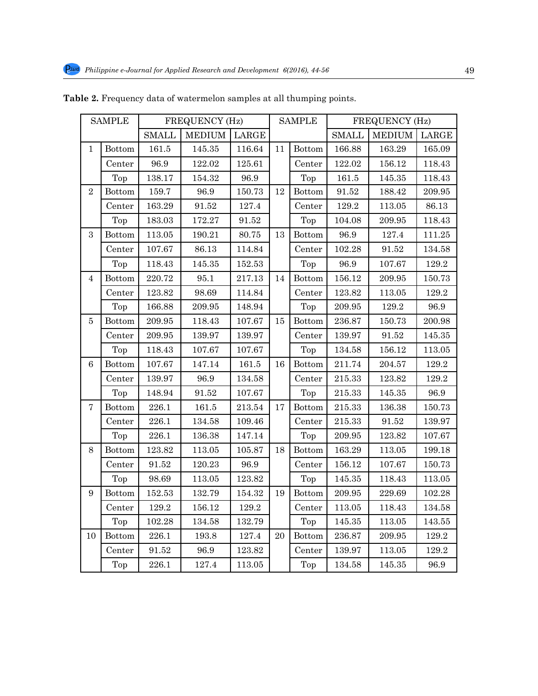| <b>SAMPLE</b>   |        | FREQUENCY (Hz)       |               |                       | <b>SAMPLE</b> |        | FREQUENCY (Hz) |               |            |
|-----------------|--------|----------------------|---------------|-----------------------|---------------|--------|----------------|---------------|------------|
|                 |        | <b>SMALL</b>         | <b>MEDIUM</b> | LARGE                 |               |        | <b>SMALL</b>   | <b>MEDIUM</b> | LARGE      |
| $\mathbf{1}$    | Bottom | 161.5                | 145.35        | 116.64                | 11<br>Bottom  |        | 166.88         | 163.29        | 165.09     |
|                 | Center | 96.9                 | 122.02        | 125.61                |               | Center | 122.02         | 156.12        | 118.43     |
|                 | Top    | 138.17               | 154.32        | 96.9                  |               | Top    | 161.5          | 145.35        | 118.43     |
| $\overline{2}$  | Bottom | 159.7                | 96.9          | $150.73\,$            | 12            | Bottom | 91.52          | 188.42        | 209.95     |
|                 | Center | 163.29               | 91.52         | 127.4                 |               | Center | 129.2          | 113.05        | 86.13      |
|                 | Top    | 183.03               | 172.27        | 91.52                 |               | Top    | 104.08         | 209.95        | 118.43     |
| 3               | Bottom | 113.05               | 190.21        | 80.75                 | 13            | Bottom | 96.9           | 127.4         | $111.25\,$ |
|                 | Center | 107.67               | 86.13         | 114.84                |               | Center | 102.28         | 91.52         | 134.58     |
|                 | Top    | 118.43               | 145.35        | 152.53                |               | Top    | 96.9           | 107.67        | 129.2      |
| $\overline{4}$  | Bottom | 220.72               | 95.1          | 217.13                | 14            | Bottom | 156.12         | 209.95        | 150.73     |
|                 | Center | 123.82               | 98.69         | 114.84                |               | Center | 123.82         | 113.05        | 129.2      |
|                 | Top    | 166.88               | 209.95        | 148.94                |               | Top    | 209.95         | 129.2         | 96.9       |
| $\overline{5}$  | Bottom | 209.95               | 118.43        | 107.67                | 15            | Bottom | 236.87         | 150.73        | 200.98     |
|                 | Center | 209.95               | 139.97        | 139.97                |               | Center | 139.97         | 91.52         | 145.35     |
|                 | Top    | 118.43               | 107.67        | 107.67                |               | Top    | 134.58         | 156.12        | 113.05     |
| $6\phantom{1}6$ | Bottom | 107.67               | 147.14        | $161.5\,$             | 16            | Bottom | 211.74         | 204.57        | 129.2      |
|                 | Center | 139.97               | 96.9          | 134.58                |               | Center | 215.33         | 123.82        | 129.2      |
|                 | Top    | 148.94               | 91.52         | 107.67                |               | Top    | 215.33         | 145.35        | 96.9       |
| 7               | Bottom | 226.1                | $161.5\,$     | $\boldsymbol{213.54}$ | 17            | Bottom | 215.33         | 136.38        | 150.73     |
|                 | Center | 226.1                | 134.58        | 109.46                |               | Center | 215.33         | 91.52         | 139.97     |
|                 | Top    | 226.1                | 136.38        | 147.14                |               | Top    | 209.95         | 123.82        | 107.67     |
| 8               | Bottom | 123.82               | 113.05        | 105.87                | 18            | Bottom | 163.29         | 113.05        | 199.18     |
|                 | Center | 91.52                | 120.23        | 96.9                  |               | Center | 156.12         | 107.67        | 150.73     |
|                 | Top    | 98.69                | 113.05        | 123.82                |               | Top    | 145.35         | 118.43        | 113.05     |
| 9               | Bottom | 152.53               | 132.79        | 154.32                | 19            | Bottom | 209.95         | 229.69        | 102.28     |
|                 | Center | 129.2                | 156.12        | 129.2                 |               | Center | 113.05         | 118.43        | 134.58     |
|                 | Top    | 102.28               | 134.58        | 132.79                |               | Top    | 145.35         | 113.05        | 143.55     |
| 10              | Bottom | 226.1                | 193.8         | 127.4                 | 20            | Bottom | 236.87         | 209.95        | 129.2      |
|                 | Center | $\boldsymbol{91.52}$ | 96.9          | 123.82                |               | Center | 139.97         | 113.05        | 129.2      |
|                 | Top    | 226.1                | 127.4         | 113.05                |               | Top    | 134.58         | 145.35        | 96.9       |

**Table 2.** Frequency data of watermelon samples at all thumping points.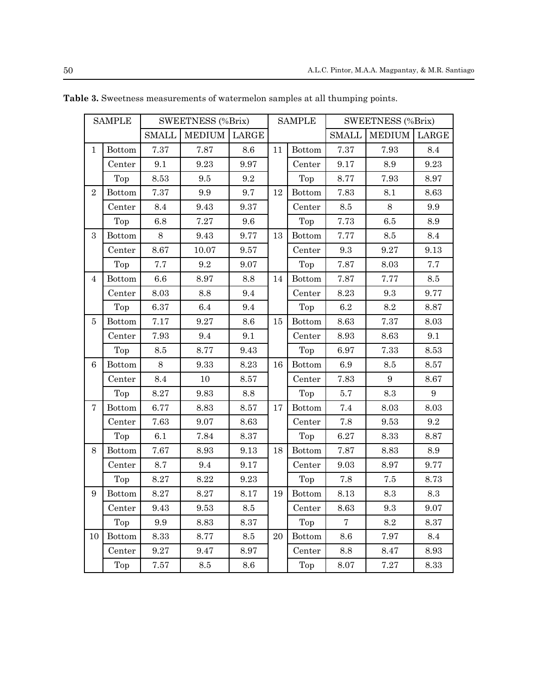| <b>SAMPLE</b>  |                |              | SWEETNESS (%Brix) |                 |              | SWEETNESS (%Brix)<br><b>SAMPLE</b> |                 |                     |                 |
|----------------|----------------|--------------|-------------------|-----------------|--------------|------------------------------------|-----------------|---------------------|-----------------|
|                |                | <b>SMALL</b> | <b>MEDIUM</b>     | LARGE           |              |                                    | <b>SMALL</b>    | <b>MEDIUM</b>       | LARGE           |
| $\mathbf{1}$   | Bottom         | 7.37         | 7.87              | 8.6             | Bottom<br>11 |                                    | 7.37            | 7.93                | 8.4             |
|                | Center         | 9.1          | 9.23              | 9.97            |              | Center                             | 9.17            | 8.9                 | 9.23            |
|                | Top            | 8.53         | 9.5               | 9.2             |              | Top                                | 8.77            | 7.93                | 8.97            |
| $\overline{2}$ | Bottom         | 7.37         | 9.9               | 9.7             | 12           | Bottom                             | 7.83            | 8.1                 | 8.63            |
|                | Center         | 8.4          | 9.43              | 9.37            |              | Center                             | $\!\!\!\!\!8.5$ | 8                   | 9.9             |
|                | Top            | 6.8          | 7.27              | $9.6\,$         |              | Top                                | 7.73            | 6.5                 | 8.9             |
| 3              | Bottom         | $8\,$        | 9.43              | 9.77            | 13           | Bottom                             | 7.77            | $\!\!\!\!\!8.5$     | 8.4             |
|                | Center         | 8.67         | 10.07             | 9.57            |              | Center                             | $\,9.3$         | $\boldsymbol{9.27}$ | 9.13            |
|                | Top            | 7.7          | 9.2               | 9.07            |              | Top                                | 7.87            | 8.03                | 7.7             |
| $\overline{4}$ | Bottom         | $6.6\,$      | 8.97              | 8.8             | 14           | Bottom                             | 7.87            | 7.77                | $\!\!\!\!\!8.5$ |
|                | Center         | 8.03         | 8.8               | 9.4             |              | Center                             | 8.23            | 9.3                 | 9.77            |
|                | Top            | 6.37         | 6.4               | 9.4             |              | Top                                | 6.2             | 8.2                 | 8.87            |
| 5              | Bottom         | 7.17         | 9.27              | 8.6             | 15           | Bottom                             | 8.63            | $7.37\,$            | 8.03            |
|                | Center         | 7.93         | 9.4               | 9.1             |              | Center                             | 8.93            | 8.63                | 9.1             |
|                | Top            | 8.5          | 8.77              | 9.43            |              | Top                                | 6.97            | 7.33                | 8.53            |
| 6              | Bottom         | $8\,$        | 9.33              | 8.23            | 16           | Bottom                             | 6.9             | $8.5\,$             | 8.57            |
|                | Center         | 8.4          | 10                | 8.57            |              | Center                             | 7.83            | 9                   | 8.67            |
|                | Top            | 8.27         | 9.83              | 8.8             | Top          |                                    | 5.7             | 8.3                 | 9               |
| 7              | Bottom         | 6.77         | $8.83\,$          | 8.57            | 17           | Bottom                             | $7.4\,$         | $8.03\,$            | 8.03            |
|                | Center         | 7.63         | 9.07              | 8.63            |              | Center                             | 7.8             | 9.53                | 9.2             |
|                | Top            | 6.1          | 7.84              | 8.37            |              | Top                                | 6.27            | 8.33                | 8.87            |
| 8              | Bottom         | 7.67         | 8.93              | 9.13            | 18           | Bottom                             | 7.87            | 8.83                | 8.9             |
|                | Center         | 8.7          | 9.4               | 9.17            |              | Center                             | 9.03            | 8.97                | 9.77            |
|                | Top            | 8.27         | 8.22              | 9.23            |              | Top                                | 7.8             | $7.5\,$             | 8.73            |
| 9              | Bottom         | 8.27         | 8.27              | 8.17            | 19           | Bottom                             | 8.13            | 8.3                 | 8.3             |
|                | Center         | 9.43         | $\ \, 9.53$       | 8.5             |              | Center                             | 8.63            | 9.3                 | 9.07            |
|                | Top            | 9.9          | 8.83              | 8.37            |              | Top                                | $\overline{7}$  | 8.2                 | 8.37            |
| 10             | $\quad$ Bottom | 8.33         | 8.77              | 8.5             | 20           | $\quad$ Bottom                     | 8.6             | 7.97                | 8.4             |
|                | Center         | 9.27         | 9.47              | 8.97            |              | Center                             | 8.8             | 8.47                | 8.93            |
|                | Top            | 7.57         | $\!\!\!\!\!8.5$   | $\!\!\!\!\!8.6$ |              | Top                                | 8.07            | 7.27                | 8.33            |

**Table 3.** Sweetness measurements of watermelon samples at all thumping points.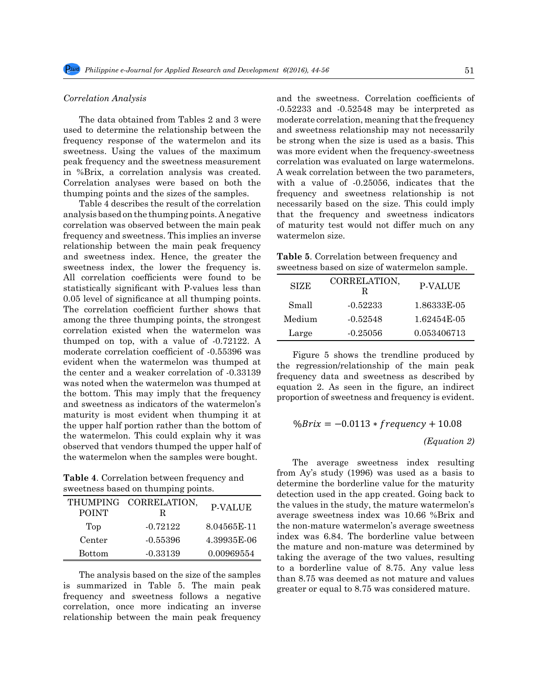#### *Correlation Analysis*

The data obtained from Tables 2 and 3 were used to determine the relationship between the frequency response of the watermelon and its sweetness. Using the values of the maximum peak frequency and the sweetness measurement in %Brix, a correlation analysis was created. Correlation analyses were based on both the thumping points and the sizes of the samples.

and sweetness as indicators of the watermelon's proportion of sweetness and and sweetness as indicators of the watermelon's 253 maturity is most evident when thumping it at the upper half portion rather than the bottom of  $\% Brix = -0.0113* frequency + 10.08$ the watermelon. This could explain why it was observed that vendors thumped the upper half of  $\sum_{n=1}^{\infty}$  (Equation 2) Table 4 describes the result of the correlation analysis based on the thumping points. A negative correlation was observed between the main peak frequency and sweetness. This implies an inverse relationship between the main peak frequency and sweetness index. Hence, the greater the sweetness index, the lower the frequency is. All correlation coefficients were found to be statistically significant with P-values less than 0.05 level of significance at all thumping points. The correlation coefficient further shows that among the three thumping points, the strongest correlation existed when the watermelon was thumped on top, with a value of -0.72122. A moderate correlation coefficient of -0.55396 was evident when the watermelon was thumped at the center and a weaker correlation of -0.33139 was noted when the watermelon was thumped at the bottom. This may imply that the frequency the watermelon when the samples were bought.

**Table 4**. Correlation between frequency and sweetness based on thumping points.

| <b>POINT</b> | THUMPING CORRELATION,<br>R. | <b>P-VALUE</b> |
|--------------|-----------------------------|----------------|
| Top          | $-0.72122$                  | 8.04565E-11    |
| Center       | $-0.55396$                  | 4.39935E-06    |
| Bottom       | $-0.33139$                  | 0.00969554     |

6 correlation, once more indicating an inverse 8 is summarized in Table 5. The main peak in<br>ne<br>'e The analysis based on the size of the samples frequency and sweetness follows a negative relationship between the main peak frequency

and the sweetness. Correlation coefficients of -0.52233 and -0.52548 may be interpreted as moderate correlation, meaning that the frequency and sweetness relationship may not necessarily be strong when the size is used as a basis. This was more evident when the frequency-sweetness correlation was evaluated on large watermelons. A weak correlation between the two parameters, with a value of -0.25056, indicates that the frequency and sweetness relationship is not necessarily based on the size. This could imply that the frequency and sweetness indicators of maturity test would not differ much on any watermelon size.

**Table 5**. Correlation between frequency and sweetness based on size of watermelon sample.

| <b>SIZE</b> | CORRELATION,<br>R | <b>P-VALUE</b> |
|-------------|-------------------|----------------|
| Small       | $-0.52233$        | 1.86333E-05    |
| Medium      | $-0.52548$        | 1.62454E 05    |
| Large       | $-0.25056$        | 0.053406713    |

Ĭ.

Figure 5 shows the trendline produced by the regression/relationship of the main peak correlation of  $\cdot$ 0.33139 frequency data and sweetness as described by the regression was the main peak of the main peak of the main peak of the main peak of the main peak of the main peak of the main peak of the main pe meion was thumped at  $\epsilon$  equation 2. As seen in the figure, an indirect not the frequency proportion of sweetness and frequency is evident.

$$
\% Brix = -0.0113 * frequency + 10.08
$$

#### *(Equation 2)*

samples were bought. The average sweetness index resulting <sup>1110</sup> average sweetness index resulting<br>from Ay's study (1996) was used as a basis to zeen frequency and determine the borderline value for the maturity ping points. **Example 26** detection used in the app created. Going back to ATION,  $P_{\text{IVALIIR}}$  the values in the study, the mature watermelon's average sweetness index was 10.66 %Brix and the non-mature watermelon's average sweetness index was 6.84. The borderline value between the mature and non-mature was determined by taking the average of the two values, resulting to a borderline value of 8.75. Any value less than 8.75 was deemed as not mature and values greater or equal to 8.75 was considered mature.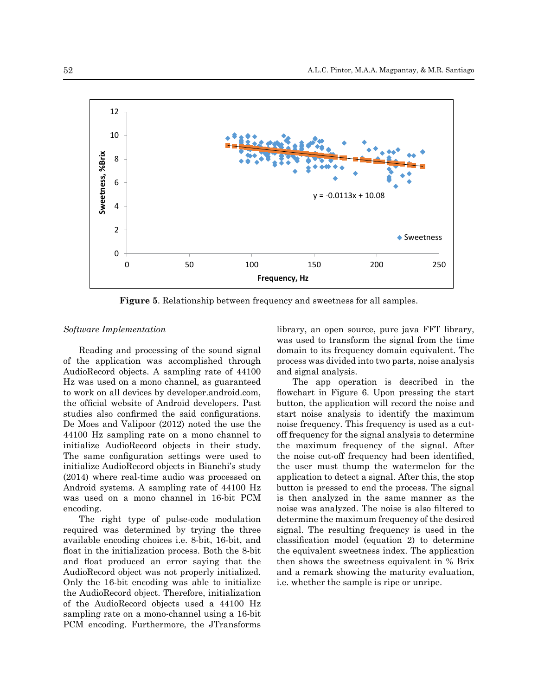

265 **Figure 5**. Relationship between frequency and sweetness for all samples **Figure 5**. Relationship between frequency and sweetness for all samples.

#### *Software Implementation*

Reading and processing of the sound signal Reading and processing of the sound signal abomain to its requency domain equivalent. The of the application was accomplished through process was divided into two parts, noise analysis AudioRecord objects. A sampling rate of 44100 and signal analysis. Hz was used on a mono channel, as guaranteed The app operation is described in the to work on all devices by developer.android.com, flowchart in Figure 6. Upon pressing the start the official website of Android developers. Past button, the application will record the noise and studies also confirmed the said configurations. De Moes and Valipoor (2012) noted the use the De Moes and vanpoor (2012) noted the use the loss individually requency. This requency is used as a cut-<br>44100 Hz sampling rate on a mono channel to loff frequency for the signal analysis to determine initialize AudioRecord objects in their study. The maximum frequency of the signal. After The same configuration settings were used to the noise cut-off frequency had been identified, initialize AudioRecord objects in Bianchi's study the user must thump the watermelon for the  $(2014)$  where real-time audio was processed on application to detect a signal. After this, the stop Android systems. A sampling rate of 44100 Hz button is pressed to end the process. The signal was used on a mono channel in 16-bit PCM encoding.

The right type of pulse-code modulation required was determined by trying the three available encoding choices i.e. 8-bit, 16-bit, and float in the initialization process. Both the 8-bit and float produced an error saying that the AudioRecord object was not properly initialized. Only the 16-bit encoding was able to initialize the AudioRecord object. Therefore, initialization of the AudioRecord objects used a 44100 Hz sampling rate on a mono-channel using a 16-bit PCM encoding. Furthermore, the JTransforms

Software Implementation and is expected in the source of the source, pure java FFT library, was used to transform the signal from the time<br>Record objects. A sample rate of 44100 Hz was used on a monochanism rate of 45100 Hz was used to 45100 Hz was domain to its frequency domain equivalent. The process was divided into two parts, noise analysis and signal analysis.

> The app operation is described in the flowchart in Figure 6. Upon pressing the start button, the application will record the noise and start noise analysis to identify the maximum noise frequency. This frequency is used as a cutoff frequency for the signal analysis to determine the maximum frequency of the signal. After the noise cut-off frequency had been identified, the user must thump the watermelon for the application to detect a signal. After this, the stop button is pressed to end the process. The signal is then analyzed in the same manner as the noise was analyzed. The noise is also filtered to determine the maximum frequency of the desired signal. The resulting frequency is used in the classification model (equation 2) to determine the equivalent sweetness index. The application then shows the sweetness equivalent in % Brix and a remark showing the maturity evaluation, i.e. whether the sample is ripe or unripe.

262 equal to 8.75 was considered mature.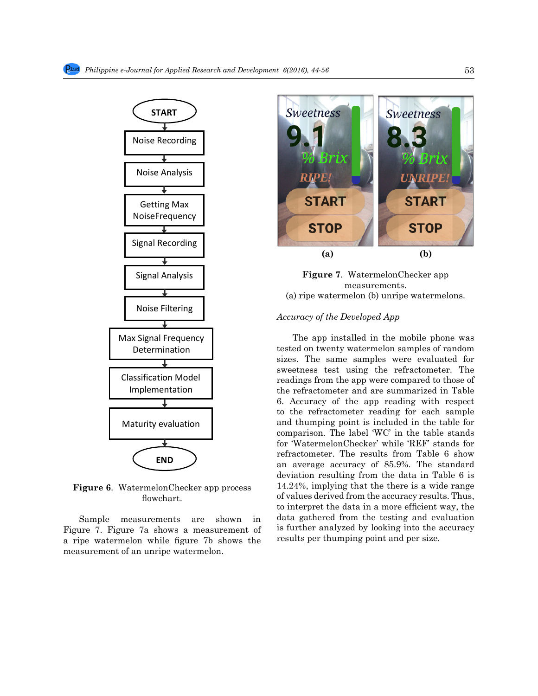

**Figure 6**. WatermelonChecker app process flowchart flowchart.

Sample measurements are shown in Figure 7. Figure 7a shows a measurement of a ripe watermelon while figure 7b shows the measurement of an unripe watermelon.



**Figure 7**. WatermelonChecker app measurements. (a) ripe watermelon (b) unripe watermelons.

## *Accuracy of the Developed App*

The app installed in the mobile phone was tested on twenty watermelon samples of random sizes. The same samples were evaluated for sweetness test using the refractometer. The readings from the app were compared to those of the refractometer and are summarized in Table 6. Accuracy of the app reading with respect to the refractometer reading for each sample and thumping point is included in the table for comparison. The label 'WC' in the table stands for 'WatermelonChecker' while 'REF' stands for refractometer. The results from Table 6 show an average accuracy of 85.9%. The standard deviation resulting from the data in Table 6 is 14.24%, implying that the there is a wide range of values derived from the accuracy results. Thus, to interpret the data in a more efficient way, the data gathered from the testing and evaluation is further analyzed by looking into the accuracy results per thumping point and per size.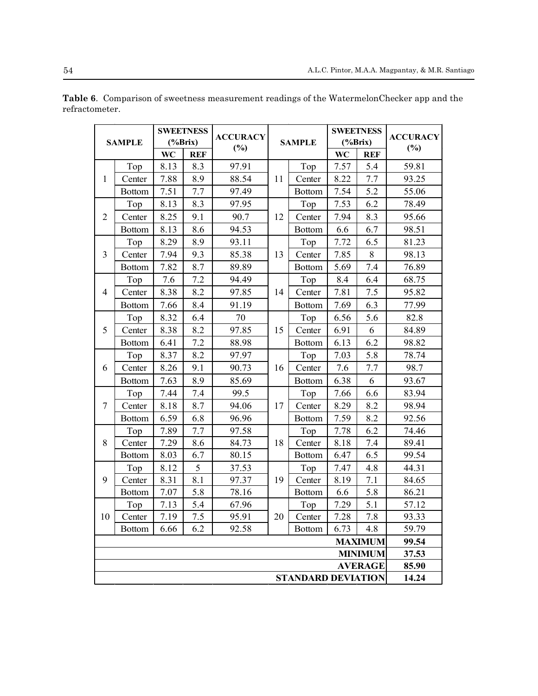| <b>SAMPLE</b>             |               | <b>SWEETNESS</b><br>$(%$ (%Brix) |            | <b>ACCURACY</b> | <b>SAMPLE</b> |               | <b>SWEETNESS</b> | $(%$ (%Brix)   | <b>ACCURACY</b> |
|---------------------------|---------------|----------------------------------|------------|-----------------|---------------|---------------|------------------|----------------|-----------------|
|                           |               | WC                               | <b>REF</b> | $(\%)$          |               |               |                  | <b>REF</b>     | (%)             |
|                           | Top           | 8.13                             | 8.3        | 97.91           |               | Top           | 7.57             | 5.4            | 59.81           |
| $\mathbf{1}$              | Center        | 7.88                             | 8.9        | 88.54           | 11            | Center        | 8.22             | 7.7            | 93.25           |
|                           | <b>Bottom</b> | 7.51                             | 7.7        | 97.49           |               | <b>Bottom</b> | 7.54             | 5.2            | 55.06           |
|                           | Top           | 8.13                             | 8.3        | 97.95           |               | Top           | 7.53             | 6.2            | 78.49           |
| $\overline{2}$            | Center        | 8.25                             | 9.1        | 90.7            | 12            | Center        | 7.94             | 8.3            | 95.66           |
|                           | <b>Bottom</b> | 8.13                             | 8.6        | 94.53           |               | <b>Bottom</b> | 6.6              | 6.7            | 98.51           |
|                           | Top           | 8.29                             | 8.9        | 93.11           |               | Top           | 7.72             | 6.5            | 81.23           |
| 3                         | Center        | 7.94                             | 9.3        | 85.38           | 13            | Center        | 7.85             | 8              | 98.13           |
|                           | <b>Bottom</b> | 7.82                             | 8.7        | 89.89           |               | <b>Bottom</b> | 5.69             | 7.4            | 76.89           |
|                           | Top           | 7.6                              | 7.2        | 94.49           |               | Top           | 8.4              | 6.4            | 68.75           |
| $\overline{4}$            | Center        | 8.38                             | 8.2        | 97.85           | 14            | Center        | 7.81             | 7.5            | 95.82           |
|                           | <b>Bottom</b> | 7.66                             | 8.4        | 91.19           |               | <b>Bottom</b> | 7.69             | 6.3            | 77.99           |
|                           | Top           | 8.32                             | 6.4        | 70              |               | Top           | 6.56             | 5.6            | 82.8            |
| 5                         | Center        | 8.38                             | 8.2        | 97.85           | 15            | Center        | 6.91             | 6              | 84.89           |
|                           | <b>Bottom</b> | 6.41                             | 7.2        | 88.98           |               | <b>Bottom</b> | 6.13             | 6.2            | 98.82           |
|                           | Top           | 8.37                             | 8.2        | 97.97           |               | Top           | 7.03             | 5.8            | 78.74           |
| 6                         | Center        | 8.26                             | 9.1        | 90.73           | 16            | Center        | 7.6              | 7.7            | 98.7            |
|                           | <b>Bottom</b> | 7.63                             | 8.9        | 85.69           |               | <b>Bottom</b> | 6.38             | 6              | 93.67           |
|                           | Top           | 7.44                             | 7.4        | 99.5            |               | Top           | 7.66             | 6.6            | 83.94           |
| 7                         | Center        | 8.18                             | 8.7        | 94.06           | 17            | Center        | 8.29             | 8.2            | 98.94           |
|                           | <b>Bottom</b> | 6.59                             | 6.8        | 96.96           |               | <b>Bottom</b> | 7.59             | 8.2            | 92.56           |
|                           | Top           | 7.89                             | 7.7        | 97.58           |               | Top           | 7.78             | 6.2            | 74.46           |
| 8                         | Center        | 7.29                             | 8.6        | 84.73           | 18            | Center        | 8.18             | 7.4            | 89.41           |
|                           | <b>Bottom</b> | 8.03                             | 6.7        | 80.15           |               | <b>Bottom</b> | 6.47             | 6.5            | 99.54           |
|                           | Top           | 8.12                             | 5          | 37.53           |               | Top           | 7.47             | 4.8            | 44.31           |
| 9                         | Center        | 8.31                             | 8.1        | 97.37           | 19            | Center        | 8.19             | 7.1            | 84.65           |
|                           | <b>Bottom</b> | 7.07                             | 5.8        | 78.16           |               | <b>Bottom</b> | 6.6              | 5.8            | 86.21           |
|                           | Top           | 7.13                             | 5.4        | 67.96           |               | Top           | 7.29             | 5.1            | 57.12           |
| 10                        | Center        | 7.19                             | 7.5        | 95.91           | 20            | Center        | 7.28             | $7.8\,$        | 93.33           |
|                           | <b>Bottom</b> | 6.66                             | 6.2        | 92.58           |               | <b>Bottom</b> | 6.73             | 4.8            | 59.79           |
|                           |               |                                  |            |                 |               |               |                  | <b>MAXIMUM</b> | 99.54           |
|                           |               |                                  |            |                 |               |               |                  | <b>MINIMUM</b> | 37.53           |
|                           |               |                                  |            |                 |               |               |                  | <b>AVERAGE</b> | 85.90           |
| <b>STANDARD DEVIATION</b> |               |                                  |            |                 |               |               |                  |                | 14.24           |

**Table 6**. Comparison of sweetness measurement readings of the WatermelonChecker app and the refractometer.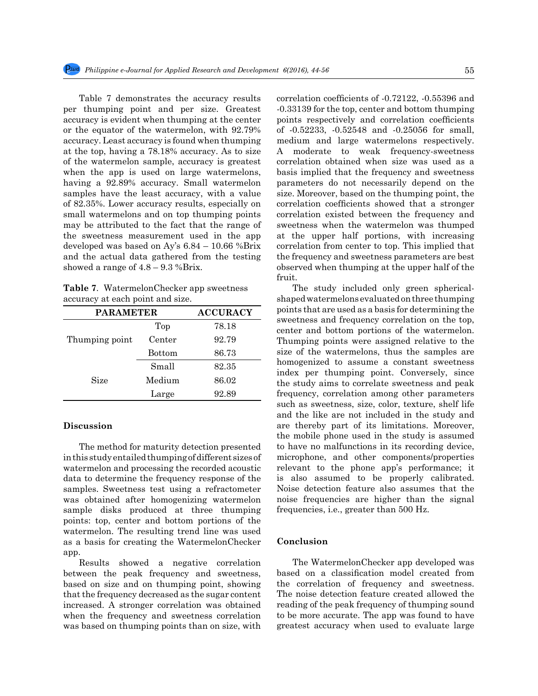Table 7 demonstrates the accuracy results per thumping point and per size. Greatest accuracy is evident when thumping at the center or the equator of the watermelon, with 92.79% accuracy. Least accuracy is found when thumping at the top, having a 78.18% accuracy. As to size of the watermelon sample, accuracy is greatest when the app is used on large watermelons, having a 92.89% accuracy. Small watermelon samples have the least accuracy, with a value of 82.35%. Lower accuracy results, especially on small watermelons and on top thumping points may be attributed to the fact that the range of the sweetness measurement used in the app developed was based on Ay's 6.84 – 10.66 %Brix and the actual data gathered from the testing showed a range of  $4.8 - 9.3$  % Brix.

**Table 7**. WatermelonChecker app sweetness accuracy at each point and size.

| <b>PARAMETER</b> | <b>ACCURACY</b> |       |
|------------------|-----------------|-------|
|                  | Top             | 78.18 |
| Thumping point   | Center          | 92.79 |
|                  | <b>Bottom</b>   | 86.73 |
|                  | Small           | 82.35 |
| Size             | Medium          | 86.02 |
|                  | Large           | 92.89 |

## **Discussion**

The method for maturity detection presented in this study entailed thumping of different sizes of watermelon and processing the recorded acoustic data to determine the frequency response of the samples. Sweetness test using a refractometer was obtained after homogenizing watermelon sample disks produced at three thumping points: top, center and bottom portions of the watermelon. The resulting trend line was used as a basis for creating the WatermelonChecker app.

Results showed a negative correlation between the peak frequency and sweetness, based on size and on thumping point, showing that the frequency decreased as the sugar content increased. A stronger correlation was obtained when the frequency and sweetness correlation was based on thumping points than on size, with correlation coefficients of -0.72122, -0.55396 and -0.33139 for the top, center and bottom thumping points respectively and correlation coefficients of -0.52233, -0.52548 and -0.25056 for small, medium and large watermelons respectively. A moderate to weak frequency-sweetness correlation obtained when size was used as a basis implied that the frequency and sweetness parameters do not necessarily depend on the size. Moreover, based on the thumping point, the correlation coefficients showed that a stronger correlation existed between the frequency and sweetness when the watermelon was thumped at the upper half portions, with increasing correlation from center to top. This implied that the frequency and sweetness parameters are best observed when thumping at the upper half of the fruit.

The study included only green sphericalshaped watermelons evaluated on three thumping points that are used as a basis for determining the sweetness and frequency correlation on the top, center and bottom portions of the watermelon. Thumping points were assigned relative to the size of the watermelons, thus the samples are homogenized to assume a constant sweetness index per thumping point. Conversely, since the study aims to correlate sweetness and peak frequency, correlation among other parameters such as sweetness, size, color, texture, shelf life and the like are not included in the study and are thereby part of its limitations. Moreover, the mobile phone used in the study is assumed to have no malfunctions in its recording device, microphone, and other components/properties relevant to the phone app's performance; it is also assumed to be properly calibrated. Noise detection feature also assumes that the noise frequencies are higher than the signal frequencies, i.e., greater than 500 Hz.

# **Conclusion**

The WatermelonChecker app developed was based on a classification model created from the correlation of frequency and sweetness. The noise detection feature created allowed the reading of the peak frequency of thumping sound to be more accurate. The app was found to have greatest accuracy when used to evaluate large